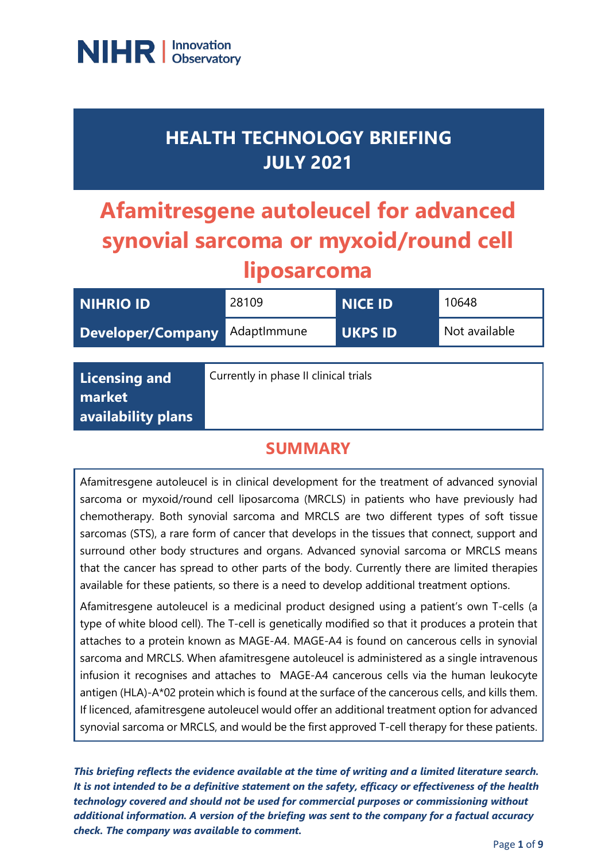

# **HEALTH TECHNOLOGY BRIEFING JULY 2021**

# **Afamitresgene autoleucel for advanced synovial sarcoma or myxoid/round cell liposarcoma**

| <b>NIHRIO ID</b>                                     | 28109                                 | <b>NICE ID</b> | 10648         |
|------------------------------------------------------|---------------------------------------|----------------|---------------|
| <b>Developer/Company</b>                             | AdaptImmune                           | <b>UKPS ID</b> | Not available |
|                                                      |                                       |                |               |
| <b>Licensing and</b><br>market<br>availability plans | Currently in phase II clinical trials |                |               |

#### **SUMMARY**

Afamitresgene autoleucel is in clinical development for the treatment of advanced synovial sarcoma or myxoid/round cell liposarcoma (MRCLS) in patients who have previously had chemotherapy. Both synovial sarcoma and MRCLS are two different types of soft tissue sarcomas (STS), a rare form of cancer that develops in the tissues that connect, support and surround other body structures and organs. Advanced synovial sarcoma or MRCLS means that the cancer has spread to other parts of the body. Currently there are limited therapies available for these patients, so there is a need to develop additional treatment options.

Afamitresgene autoleucel is a medicinal product designed using a patient's own T-cells (a type of white blood cell). The T-cell is genetically modified so that it produces a protein that attaches to a protein known as MAGE-A4. MAGE-A4 is found on cancerous cells in synovial sarcoma and MRCLS. When afamitresgene autoleucel is administered as a single intravenous infusion it recognises and attaches to MAGE-A4 cancerous cells via the human leukocyte antigen (HLA)-A\*02 protein which is found at the surface of the cancerous cells, and kills them. If licenced, afamitresgene autoleucel would offer an additional treatment option for advanced synovial sarcoma or MRCLS, and would be the first approved T-cell therapy for these patients.

*This briefing reflects the evidence available at the time of writing and a limited literature search. It is not intended to be a definitive statement on the safety, efficacy or effectiveness of the health technology covered and should not be used for commercial purposes or commissioning without additional information. A version of the briefing was sent to the company for a factual accuracy check. The company was available to comment.*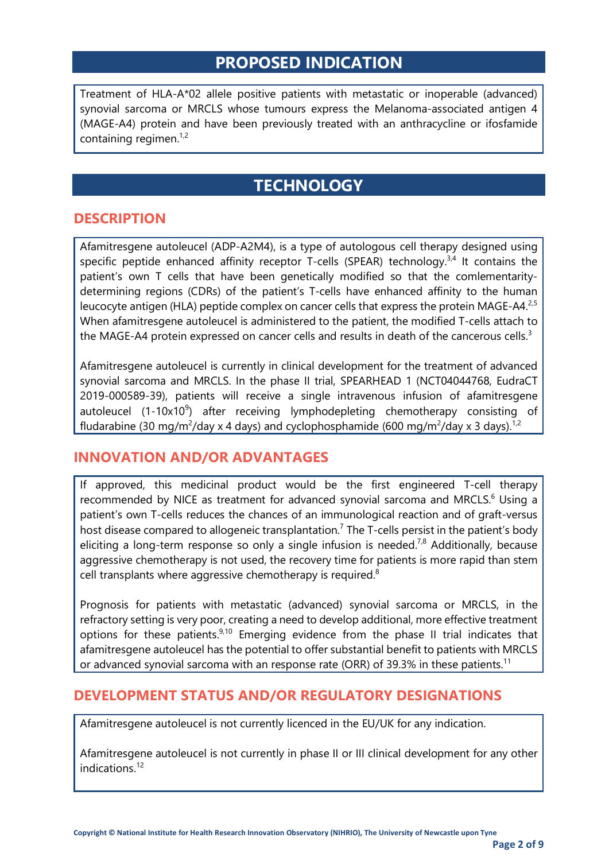### **PROPOSED INDICATION**

Treatment of HLA-A\*02 allele positive patients with metastatic or inoperable (advanced) synovial sarcoma or MRCLS whose tumours express the Melanoma-associated antigen 4 (MAGE-A4) protein and have been previously treated with an anthracycline or ifosfamide containing regimen.<sup>1,2</sup>

# **TECHNOLOGY**

#### **DESCRIPTION**

Afamitresgene autoleucel (ADP-A2M4), is a type of autologous cell therapy designed using specific peptide enhanced affinity receptor T-cells (SPEAR) technology. $3,4$  It contains the patient's own T cells that have been genetically modified so that the comlementaritydetermining regions (CDRs) of the patient's T-cells have enhanced affinity to the human leucocyte antigen (HLA) peptide complex on cancer cells that express the protein MAGE-A4.<sup>2,5</sup> When afamitresgene autoleucel is administered to the patient, the modified T-cells attach to the MAGE-A4 protein expressed on cancer cells and results in death of the cancerous cells.<sup>3</sup>

Afamitresgene autoleucel is currently in clinical development for the treatment of advanced synovial sarcoma and MRCLS. In the phase II trial, SPEARHEAD 1 (NCT04044768, EudraCT 2019-000589-39), patients will receive a single intravenous infusion of afamitresgene autoleucel (1-10x10<sup>9</sup>) after receiving lymphodepleting chemotherapy consisting of fludarabine (30 mg/m<sup>2</sup>/day x 4 days) and cyclophosphamide (600 mg/m<sup>2</sup>/day x 3 days).<sup>1,2</sup>

#### **INNOVATION AND/OR ADVANTAGES**

If approved, this medicinal product would be the first engineered T-cell therapy recommended by NICE as treatment for advanced synovial sarcoma and MRCLS.<sup>6</sup> Using a patient's own T-cells reduces the chances of an immunological reaction and of graft-versus host disease compared to allogeneic transplantation.<sup>7</sup> The T-cells persist in the patient's body eliciting a long-term response so only a single infusion is needed.<sup>7,8</sup> Additionally, because aggressive chemotherapy is not used, the recovery time for patients is more rapid than stem cell transplants where aggressive chemotherapy is required. $8$ 

Prognosis for patients with metastatic (advanced) synovial sarcoma or MRCLS, in the refractory setting is very poor, creating a need to develop additional, more effective treatment options for these patients.9,10 Emerging evidence from the phase II trial indicates that afamitresgene autoleucel has the potential to offer substantial benefit to patients with MRCLS or advanced synovial sarcoma with an response rate (ORR) of 39.3% in these patients.<sup>11</sup>

#### **DEVELOPMENT STATUS AND/OR REGULATORY DESIGNATIONS**

Afamitresgene autoleucel is not currently licenced in the EU/UK for any indication.

Afamitresgene autoleucel is not currently in phase II or III clinical development for any other indications<sup>12</sup>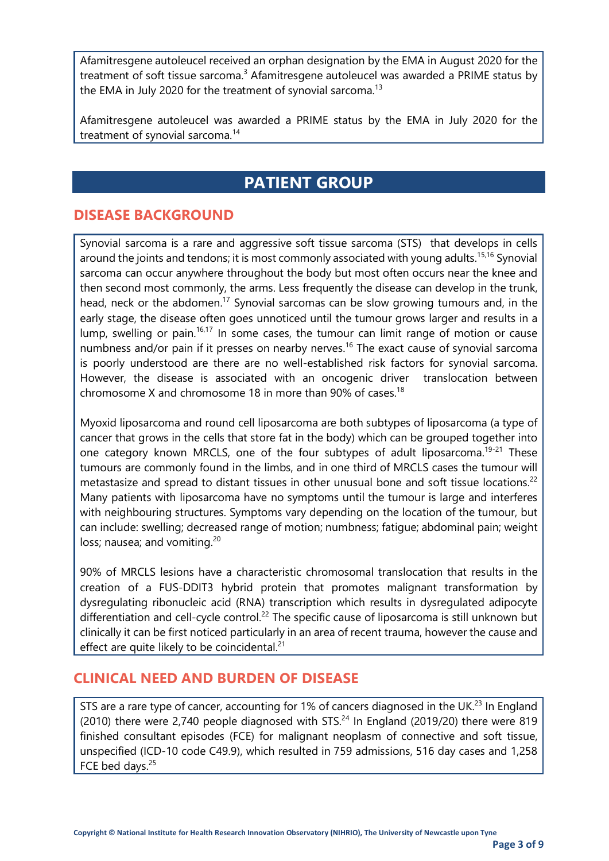Afamitresgene autoleucel received an orphan designation by the EMA in August 2020 for the treatment of soft tissue sarcoma.<sup>3</sup> Afamitresgene autoleucel was awarded a PRIME status by the EMA in July 2020 for the treatment of synovial sarcoma.<sup>13</sup>

Afamitresgene autoleucel was awarded a PRIME status by the EMA in July 2020 for the treatment of synovial sarcoma. 14

# **PATIENT GROUP**

#### **DISEASE BACKGROUND**

Synovial sarcoma is a rare and aggressive soft tissue sarcoma (STS) that develops in cells around the joints and tendons; it is most commonly associated with young adults.<sup>15,16</sup> Synovial sarcoma can occur anywhere throughout the body but most often occurs near the knee and then second most commonly, the arms. Less frequently the disease can develop in the trunk, head, neck or the abdomen.<sup>17</sup> Synovial sarcomas can be slow growing tumours and, in the early stage, the disease often goes unnoticed until the tumour grows larger and results in a lump, swelling or pain.<sup>16,17</sup> In some cases, the tumour can limit range of motion or cause numbness and/or pain if it presses on nearby nerves.<sup>16</sup> The exact cause of synovial sarcoma is poorly understood are there are no well-established risk factors for synovial sarcoma. However, the disease is associated with an oncogenic driver translocation between chromosome X and chromosome 18 in more than 90% of cases.<sup>18</sup>

Myoxid liposarcoma and round cell liposarcoma are both subtypes of liposarcoma (a type of cancer that grows in the cells that store fat in the body) which can be grouped together into one category known MRCLS, one of the four subtypes of adult liposarcoma.<sup>19-21</sup> These tumours are commonly found in the limbs, and in one third of MRCLS cases the tumour will metastasize and spread to distant tissues in other unusual bone and soft tissue locations.<sup>22</sup> Many patients with liposarcoma have no symptoms until the tumour is large and interferes with neighbouring structures. Symptoms vary depending on the location of the tumour, but can include: swelling; decreased range of motion; numbness; fatigue; abdominal pain; weight loss; nausea; and vomiting.<sup>20</sup>

90% of MRCLS lesions have a characteristic chromosomal translocation that results in the creation of a FUS-DDIT3 hybrid protein that promotes malignant transformation by dysregulating ribonucleic acid (RNA) transcription which results in dysregulated adipocyte differentiation and cell-cycle control.<sup>22</sup> The specific cause of liposarcoma is still unknown but clinically it can be first noticed particularly in an area of recent trauma, however the cause and effect are quite likely to be coincidental. $21$ 

#### **CLINICAL NEED AND BURDEN OF DISEASE**

STS are a rare type of cancer, accounting for 1% of cancers diagnosed in the UK.<sup>23</sup> In England  $(2010)$  there were 2,740 people diagnosed with STS.<sup>24</sup> In England  $(2019/20)$  there were 819 finished consultant episodes (FCE) for malignant neoplasm of connective and soft tissue, unspecified (ICD-10 code C49.9), which resulted in 759 admissions, 516 day cases and 1,258 FCE bed days.<sup>25</sup>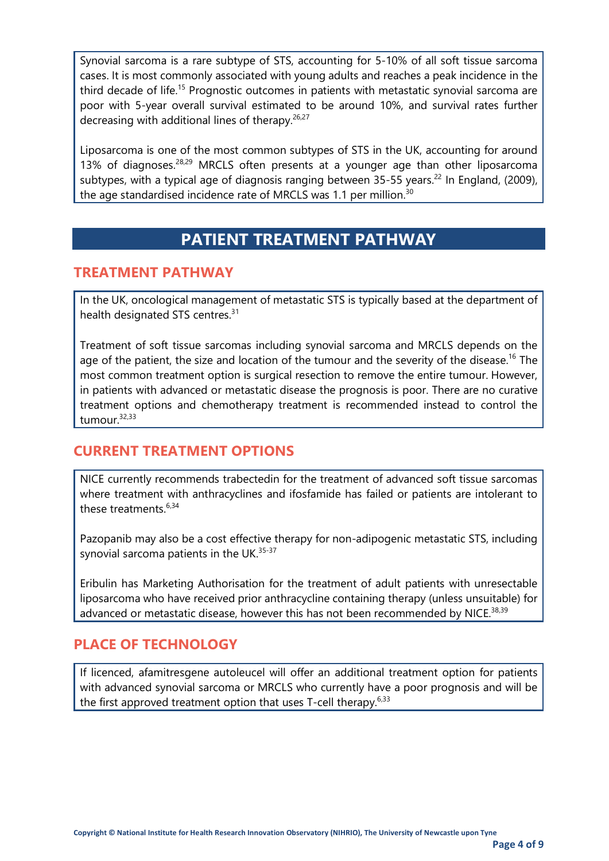Synovial sarcoma is a rare subtype of STS, accounting for 5-10% of all soft tissue sarcoma cases. It is most commonly associated with young adults and reaches a peak incidence in the third decade of life.<sup>15</sup> Prognostic outcomes in patients with metastatic synovial sarcoma are poor with 5-year overall survival estimated to be around 10%, and survival rates further decreasing with additional lines of therapy.<sup>26,27</sup>

Liposarcoma is one of the most common subtypes of STS in the UK, accounting for around 13% of diagnoses.<sup>28,29</sup> MRCLS often presents at a younger age than other liposarcoma subtypes, with a typical age of diagnosis ranging between 35-55 years.<sup>22</sup> In England, (2009), the age standardised incidence rate of MRCLS was 1.1 per million.<sup>30</sup>

## **PATIENT TREATMENT PATHWAY**

#### **TREATMENT PATHWAY**

In the UK, oncological management of metastatic STS is typically based at the department of health designated STS centres.<sup>31</sup>

Treatment of soft tissue sarcomas including synovial sarcoma and MRCLS depends on the age of the patient, the size and location of the tumour and the severity of the disease.<sup>16</sup> The most common treatment option is surgical resection to remove the entire tumour. However, in patients with advanced or metastatic disease the prognosis is poor. There are no curative treatment options and chemotherapy treatment is recommended instead to control the tumour.32,33

#### **CURRENT TREATMENT OPTIONS**

NICE currently recommends trabectedin for the treatment of advanced soft tissue sarcomas where treatment with anthracyclines and ifosfamide has failed or patients are intolerant to these treatments. $6,34$ 

Pazopanib may also be a cost effective therapy for non-adipogenic metastatic STS, including synovial sarcoma patients in the UK. $35-37$ 

Eribulin has Marketing Authorisation for the treatment of adult patients with unresectable liposarcoma who have received prior anthracycline containing therapy (unless unsuitable) for advanced or metastatic disease, however this has not been recommended by NICE.<sup>38,39</sup>

#### **PLACE OF TECHNOLOGY**

If licenced, afamitresgene autoleucel will offer an additional treatment option for patients with advanced synovial sarcoma or MRCLS who currently have a poor prognosis and will be the first approved treatment option that uses T-cell therapy.<sup>6,33</sup>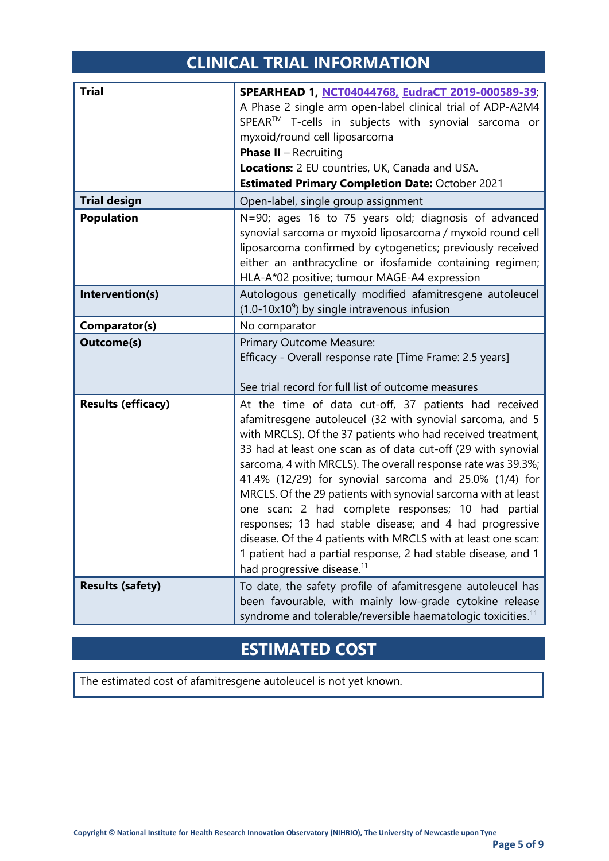# **CLINICAL TRIAL INFORMATION**

<span id="page-4-0"></span>

| <b>Trial</b>              | SPEARHEAD 1, NCT04044768, EudraCT 2019-000589-39,<br>A Phase 2 single arm open-label clinical trial of ADP-A2M4<br>SPEAR™ T-cells in subjects with synovial sarcoma or<br>myxoid/round cell liposarcoma<br><b>Phase II</b> - Recruiting<br>Locations: 2 EU countries, UK, Canada and USA.<br><b>Estimated Primary Completion Date: October 2021</b>                                                                                                                                                                                                                                                                                                                                                                                        |  |
|---------------------------|--------------------------------------------------------------------------------------------------------------------------------------------------------------------------------------------------------------------------------------------------------------------------------------------------------------------------------------------------------------------------------------------------------------------------------------------------------------------------------------------------------------------------------------------------------------------------------------------------------------------------------------------------------------------------------------------------------------------------------------------|--|
| <b>Trial design</b>       | Open-label, single group assignment                                                                                                                                                                                                                                                                                                                                                                                                                                                                                                                                                                                                                                                                                                        |  |
| <b>Population</b>         | N=90; ages 16 to 75 years old; diagnosis of advanced<br>synovial sarcoma or myxoid liposarcoma / myxoid round cell<br>liposarcoma confirmed by cytogenetics; previously received<br>either an anthracycline or ifosfamide containing regimen;<br>HLA-A*02 positive; tumour MAGE-A4 expression                                                                                                                                                                                                                                                                                                                                                                                                                                              |  |
| Intervention(s)           | Autologous genetically modified afamitresgene autoleucel<br>$(1.0-10x109)$ by single intravenous infusion                                                                                                                                                                                                                                                                                                                                                                                                                                                                                                                                                                                                                                  |  |
| Comparator(s)             | No comparator                                                                                                                                                                                                                                                                                                                                                                                                                                                                                                                                                                                                                                                                                                                              |  |
| <b>Outcome(s)</b>         | Primary Outcome Measure:<br>Efficacy - Overall response rate [Time Frame: 2.5 years]<br>See trial record for full list of outcome measures                                                                                                                                                                                                                                                                                                                                                                                                                                                                                                                                                                                                 |  |
| <b>Results (efficacy)</b> | At the time of data cut-off, 37 patients had received<br>afamitresgene autoleucel (32 with synovial sarcoma, and 5<br>with MRCLS). Of the 37 patients who had received treatment,<br>33 had at least one scan as of data cut-off (29 with synovial<br>sarcoma, 4 with MRCLS). The overall response rate was 39.3%;<br>41.4% (12/29) for synovial sarcoma and 25.0% (1/4) for<br>MRCLS. Of the 29 patients with synovial sarcoma with at least<br>one scan: 2 had complete responses; 10 had partial<br>responses; 13 had stable disease; and 4 had progressive<br>disease. Of the 4 patients with MRCLS with at least one scan:<br>1 patient had a partial response, 2 had stable disease, and 1<br>had progressive disease. <sup>11</sup> |  |
| <b>Results (safety)</b>   | To date, the safety profile of afamitresgene autoleucel has<br>been favourable, with mainly low-grade cytokine release<br>syndrome and tolerable/reversible haematologic toxicities. <sup>11</sup>                                                                                                                                                                                                                                                                                                                                                                                                                                                                                                                                         |  |

# **ESTIMATED COST**

The estimated cost of afamitresgene autoleucel is not yet known.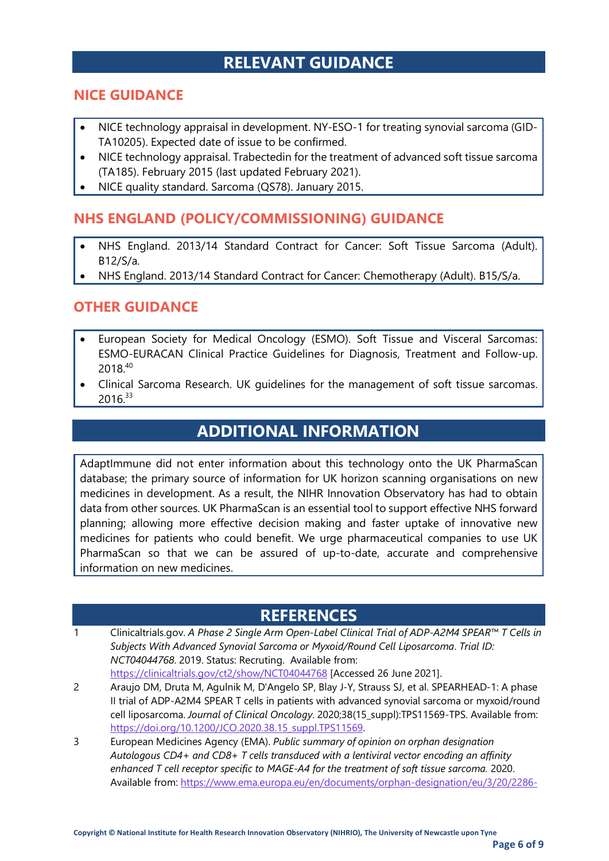# **RELEVANT GUIDANCE**

#### **NICE GUIDANCE**

- NICE technology appraisal in development. NY-ESO-1 for treating synovial sarcoma (GID-TA10205). Expected date of issue to be confirmed.
- NICE technology appraisal. Trabectedin for the treatment of advanced soft tissue sarcoma (TA185). February 2015 (last updated February 2021).
- NICE quality standard. Sarcoma (QS78). January 2015.

#### **NHS ENGLAND (POLICY/COMMISSIONING) GUIDANCE**

- NHS England. 2013/14 Standard Contract for Cancer: Soft Tissue Sarcoma (Adult). B12/S/a.
- NHS England. 2013/14 Standard Contract for Cancer: Chemotherapy (Adult). B15/S/a.

#### **OTHER GUIDANCE**

- European Society for Medical Oncology (ESMO). Soft Tissue and Visceral Sarcomas: ESMO-EURACAN Clinical Practice Guidelines for Diagnosis, Treatment and Follow-up. 2018.40
- Clinical Sarcoma Research. UK guidelines for the management of soft tissue sarcomas. 2016.33

# **ADDITIONAL INFORMATION**

AdaptImmune did not enter information about this technology onto the UK PharmaScan database; the primary source of information for UK horizon scanning organisations on new medicines in development. As a result, the NIHR Innovation Observatory has had to obtain data from other sources. UK PharmaScan is an essential tool to support effective NHS forward planning; allowing more effective decision making and faster uptake of innovative new medicines for patients who could benefit. We urge pharmaceutical companies to use UK PharmaScan so that we can be assured of up-to-date, accurate and comprehensive information on new medicines.

#### **REFERENCES**

- 1 Clinicaltrials.gov. *A Phase 2 Single Arm Open-Label Clinical Trial of ADP-A2M4 SPEAR™ T Cells in Subjects With Advanced Synovial Sarcoma or Myxoid/Round Cell Liposarcoma*. *Trial ID: NCT04044768*. 2019. Status: Recruting. Available from: <https://clinicaltrials.gov/ct2/show/NCT04044768> [Accessed 26 June 2021].
- 2 Araujo DM, Druta M, Agulnik M, D'Angelo SP, Blay J-Y, Strauss SJ, et al. SPEARHEAD-1: A phase II trial of ADP-A2M4 SPEAR T cells in patients with advanced synovial sarcoma or myxoid/round cell liposarcoma. *Journal of Clinical Oncology*. 2020;38(15\_suppl):TPS11569-TPS. Available from: [https://doi.org/10.1200/JCO.2020.38.15\\_suppl.TPS11569.](https://doi.org/10.1200/JCO.2020.38.15_suppl.TPS11569)
- 3 European Medicines Agency (EMA). *Public summary of opinion on orphan designation Autologous CD4+ and CD8+ T cells transduced with a lentiviral vector encoding an affinity enhanced T cell receptor specific to MAGE-A4 for the treatment of soft tissue sarcoma.* 2020. Available from[: https://www.ema.europa.eu/en/documents/orphan-designation/eu/3/20/2286-](https://www.ema.europa.eu/en/documents/orphan-designation/eu/3/20/2286-public-summary-opinion-orphan-designation-autologous-cd4-cd8-t-cells-transduced-lentiviral_en.pdf)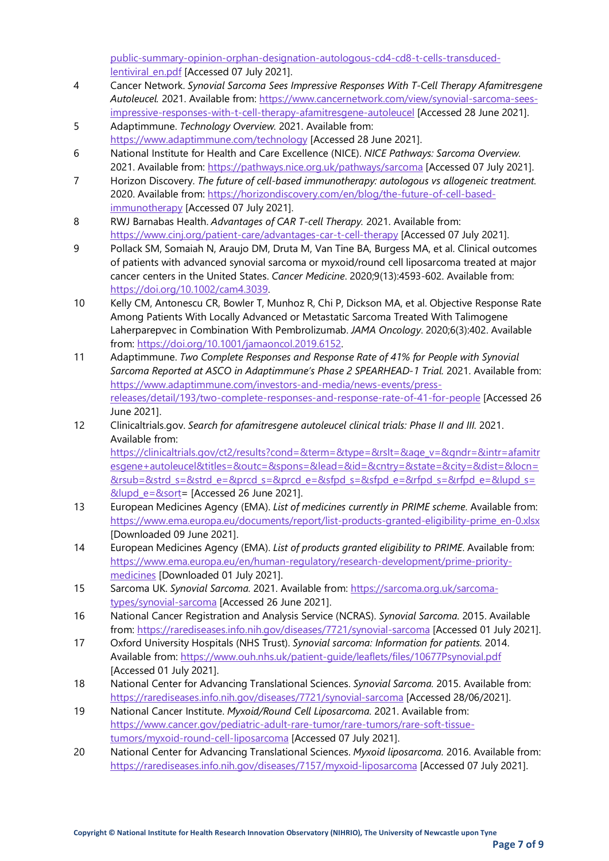[public-summary-opinion-orphan-designation-autologous-cd4-cd8-t-cells-transduced](https://www.ema.europa.eu/en/documents/orphan-designation/eu/3/20/2286-public-summary-opinion-orphan-designation-autologous-cd4-cd8-t-cells-transduced-lentiviral_en.pdf)[lentiviral\\_en.pdf](https://www.ema.europa.eu/en/documents/orphan-designation/eu/3/20/2286-public-summary-opinion-orphan-designation-autologous-cd4-cd8-t-cells-transduced-lentiviral_en.pdf) [Accessed 07 July 2021].

- 4 Cancer Network. *Synovial Sarcoma Sees Impressive Responses With T-Cell Therapy Afamitresgene Autoleucel.* 2021. Available from: [https://www.cancernetwork.com/view/synovial-sarcoma-sees](https://www.cancernetwork.com/view/synovial-sarcoma-sees-impressive-responses-with-t-cell-therapy-afamitresgene-autoleucel)[impressive-responses-with-t-cell-therapy-afamitresgene-autoleucel](https://www.cancernetwork.com/view/synovial-sarcoma-sees-impressive-responses-with-t-cell-therapy-afamitresgene-autoleucel) [Accessed 28 June 2021].
- 5 Adaptimmune. *Technology Overview.* 2021. Available from: <https://www.adaptimmune.com/technology> [Accessed 28 June 2021].
- 6 National Institute for Health and Care Excellence (NICE). *NICE Pathways: Sarcoma Overview.* 2021. Available from:<https://pathways.nice.org.uk/pathways/sarcoma> [Accessed 07 July 2021].
- 7 Horizon Discovery. *The future of cell-based immunotherapy: autologous vs allogeneic treatment.* 2020. Available from: [https://horizondiscovery.com/en/blog/the-future-of-cell-based](https://horizondiscovery.com/en/blog/the-future-of-cell-based-immunotherapy)[immunotherapy](https://horizondiscovery.com/en/blog/the-future-of-cell-based-immunotherapy) [Accessed 07 July 2021].
- 8 RWJ Barnabas Health. *Advantages of CAR T-cell Therapy.* 2021. Available from: <https://www.cinj.org/patient-care/advantages-car-t-cell-therapy> [Accessed 07 July 2021].
- 9 Pollack SM, Somaiah N, Araujo DM, Druta M, Van Tine BA, Burgess MA, et al. Clinical outcomes of patients with advanced synovial sarcoma or myxoid/round cell liposarcoma treated at major cancer centers in the United States. *Cancer Medicine*. 2020;9(13):4593-602. Available from: [https://doi.org/10.1002/cam4.3039.](https://doi.org/10.1002/cam4.3039)
- 10 Kelly CM, Antonescu CR, Bowler T, Munhoz R, Chi P, Dickson MA, et al. Objective Response Rate Among Patients With Locally Advanced or Metastatic Sarcoma Treated With Talimogene Laherparepvec in Combination With Pembrolizumab. *JAMA Oncology*. 2020;6(3):402. Available from: [https://doi.org/10.1001/jamaoncol.2019.6152.](https://doi.org/10.1001/jamaoncol.2019.6152)
- 11 Adaptimmune. *Two Complete Responses and Response Rate of 41% for People with Synovial Sarcoma Reported at ASCO in Adaptimmune's Phase 2 SPEARHEAD-1 Trial.* 2021. Available from: [https://www.adaptimmune.com/investors-and-media/news-events/press](https://www.adaptimmune.com/investors-and-media/news-events/press-releases/detail/193/two-complete-responses-and-response-rate-of-41-for-people)[releases/detail/193/two-complete-responses-and-response-rate-of-41-for-people](https://www.adaptimmune.com/investors-and-media/news-events/press-releases/detail/193/two-complete-responses-and-response-rate-of-41-for-people) [Accessed 26 June 2021].
- 12 Clinicaltrials.gov. *Search for afamitresgene autoleucel clinical trials: Phase II and III.* 2021. Available from: [https://clinicaltrials.gov/ct2/results?cond=&term=&type=&rslt=&age\\_v=&gndr=&intr=afamitr](https://clinicaltrials.gov/ct2/results?cond=&term=&type=&rslt=&age_v=&gndr=&intr=afamitresgene+autoleucel&titles=&outc=&spons=&lead=&id=&cntry=&state=&city=&dist=&locn=&rsub=&strd_s=&strd_e=&prcd_s=&prcd_e=&sfpd_s=&sfpd_e=&rfpd_s=&rfpd_e=&lupd_s=&lupd_e=&sort) [esgene+autoleucel&titles=&outc=&spons=&lead=&id=&cntry=&state=&city=&dist=&locn=](https://clinicaltrials.gov/ct2/results?cond=&term=&type=&rslt=&age_v=&gndr=&intr=afamitresgene+autoleucel&titles=&outc=&spons=&lead=&id=&cntry=&state=&city=&dist=&locn=&rsub=&strd_s=&strd_e=&prcd_s=&prcd_e=&sfpd_s=&sfpd_e=&rfpd_s=&rfpd_e=&lupd_s=&lupd_e=&sort)  $&xsub=&strd s=&strd e=&prcd s=&prcd e=&sfbd s=&sfbd e=&rfpdd s=&rfbd e=&lupd e=&l$ [&lupd\\_e=&sort=](https://clinicaltrials.gov/ct2/results?cond=&term=&type=&rslt=&age_v=&gndr=&intr=afamitresgene+autoleucel&titles=&outc=&spons=&lead=&id=&cntry=&state=&city=&dist=&locn=&rsub=&strd_s=&strd_e=&prcd_s=&prcd_e=&sfpd_s=&sfpd_e=&rfpd_s=&rfpd_e=&lupd_s=&lupd_e=&sort) [Accessed 26 June 2021].
- 13 European Medicines Agency (EMA). *List of medicines currently in PRIME scheme*. Available from: [https://www.ema.europa.eu/documents/report/list-products-granted-eligibility-prime\\_en-0.xlsx](https://www.ema.europa.eu/documents/report/list-products-granted-eligibility-prime_en-0.xlsx) [Downloaded 09 June 2021].
- 14 European Medicines Agency (EMA). *List of products granted eligibility to PRIME*. Available from: [https://www.ema.europa.eu/en/human-regulatory/research-development/prime-priority](https://www.ema.europa.eu/en/human-regulatory/research-development/prime-priority-medicines)[medicines](https://www.ema.europa.eu/en/human-regulatory/research-development/prime-priority-medicines) [Downloaded 01 July 2021].
- 15 Sarcoma UK. *Synovial Sarcoma.* 2021. Available from: [https://sarcoma.org.uk/sarcoma](https://sarcoma.org.uk/sarcoma-types/synovial-sarcoma)[types/synovial-sarcoma](https://sarcoma.org.uk/sarcoma-types/synovial-sarcoma) [Accessed 26 June 2021].
- 16 National Cancer Registration and Analysis Service (NCRAS). *Synovial Sarcoma.* 2015. Available from:<https://rarediseases.info.nih.gov/diseases/7721/synovial-sarcoma> [Accessed 01 July 2021].
- 17 Oxford University Hospitals (NHS Trust). *Synovial sarcoma: Information for patients.* 2014. Available from[: https://www.ouh.nhs.uk/patient-guide/leaflets/files/10677Psynovial.pdf](https://www.ouh.nhs.uk/patient-guide/leaflets/files/10677Psynovial.pdf) [Accessed 01 July 2021].
- 18 National Center for Advancing Translational Sciences. *Synovial Sarcoma.* 2015. Available from: <https://rarediseases.info.nih.gov/diseases/7721/synovial-sarcoma> [Accessed 28/06/2021].
- 19 National Cancer Institute. *Myxoid/Round Cell Liposarcoma.* 2021. Available from: [https://www.cancer.gov/pediatric-adult-rare-tumor/rare-tumors/rare-soft-tissue](https://www.cancer.gov/pediatric-adult-rare-tumor/rare-tumors/rare-soft-tissue-tumors/myxoid-round-cell-liposarcoma)[tumors/myxoid-round-cell-liposarcoma](https://www.cancer.gov/pediatric-adult-rare-tumor/rare-tumors/rare-soft-tissue-tumors/myxoid-round-cell-liposarcoma) [Accessed 07 July 2021].
- 20 National Center for Advancing Translational Sciences. *Myxoid liposarcoma.* 2016. Available from: <https://rarediseases.info.nih.gov/diseases/7157/myxoid-liposarcoma> [Accessed 07 July 2021].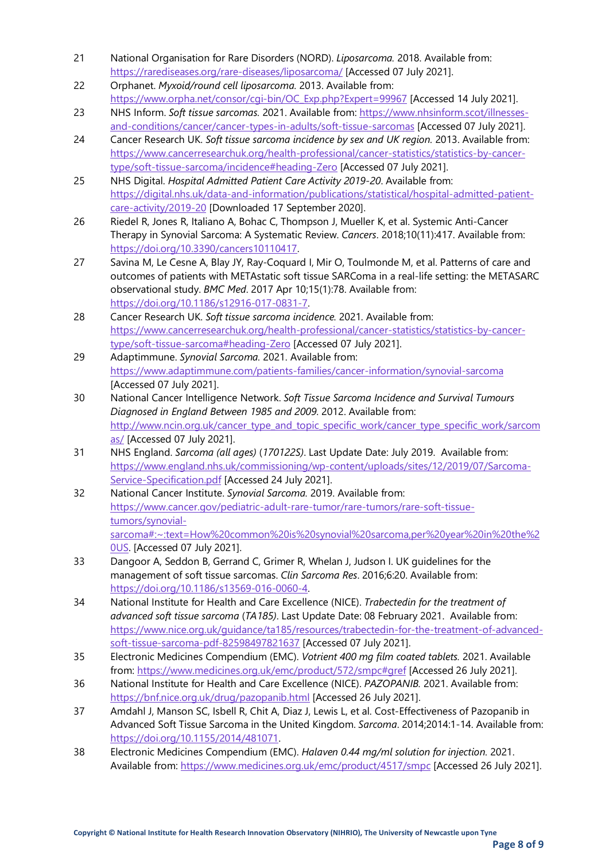- 21 National Organisation for Rare Disorders (NORD). *Liposarcoma.* 2018. Available from: <https://rarediseases.org/rare-diseases/liposarcoma/> [Accessed 07 July 2021].
- 22 Orphanet. *Myxoid/round cell liposarcoma.* 2013. Available from: [https://www.orpha.net/consor/cgi-bin/OC\\_Exp.php?Expert=99967](https://www.orpha.net/consor/cgi-bin/OC_Exp.php?Expert=99967) [Accessed 14 July 2021].
- 23 NHS Inform. *Soft tissue sarcomas.* 2021. Available from: [https://www.nhsinform.scot/illnesses](https://www.nhsinform.scot/illnesses-and-conditions/cancer/cancer-types-in-adults/soft-tissue-sarcomas)[and-conditions/cancer/cancer-types-in-adults/soft-tissue-sarcomas](https://www.nhsinform.scot/illnesses-and-conditions/cancer/cancer-types-in-adults/soft-tissue-sarcomas) [Accessed 07 July 2021].
- 24 Cancer Research UK. *Soft tissue sarcoma incidence by sex and UK region.* 2013. Available from: [https://www.cancerresearchuk.org/health-professional/cancer-statistics/statistics-by-cancer](https://www.cancerresearchuk.org/health-professional/cancer-statistics/statistics-by-cancer-type/soft-tissue-sarcoma/incidence#heading-Zero)[type/soft-tissue-sarcoma/incidence#heading-Zero](https://www.cancerresearchuk.org/health-professional/cancer-statistics/statistics-by-cancer-type/soft-tissue-sarcoma/incidence#heading-Zero) [Accessed 07 July 2021].
- 25 NHS Digital. *Hospital Admitted Patient Care Activity 2019-20*. Available from: [https://digital.nhs.uk/data-and-information/publications/statistical/hospital-admitted-patient](https://digital.nhs.uk/data-and-information/publications/statistical/hospital-admitted-patient-care-activity/2019-20)[care-activity/2019-20](https://digital.nhs.uk/data-and-information/publications/statistical/hospital-admitted-patient-care-activity/2019-20) [Downloaded 17 September 2020].
- 26 Riedel R, Jones R, Italiano A, Bohac C, Thompson J, Mueller K, et al. Systemic Anti-Cancer Therapy in Synovial Sarcoma: A Systematic Review. *Cancers*. 2018;10(11):417. Available from: [https://doi.org/10.3390/cancers10110417.](https://doi.org/10.3390/cancers10110417)
- 27 Savina M, Le Cesne A, Blay JY, Ray-Coquard I, Mir O, Toulmonde M, et al. Patterns of care and outcomes of patients with METAstatic soft tissue SARComa in a real-life setting: the METASARC observational study. *BMC Med*. 2017 Apr 10;15(1):78. Available from: [https://doi.org/10.1186/s12916-017-0831-7.](https://doi.org/10.1186/s12916-017-0831-7)
- 28 Cancer Research UK. *Soft tissue sarcoma incidence.* 2021. Available from: [https://www.cancerresearchuk.org/health-professional/cancer-statistics/statistics-by-cancer](https://www.cancerresearchuk.org/health-professional/cancer-statistics/statistics-by-cancer-type/soft-tissue-sarcoma#heading-Zero)[type/soft-tissue-sarcoma#heading-Zero](https://www.cancerresearchuk.org/health-professional/cancer-statistics/statistics-by-cancer-type/soft-tissue-sarcoma#heading-Zero) [Accessed 07 July 2021].
- 29 Adaptimmune. *Synovial Sarcoma.* 2021. Available from: <https://www.adaptimmune.com/patients-families/cancer-information/synovial-sarcoma> [Accessed 07 July 2021].
- 30 National Cancer Intelligence Network. *Soft Tissue Sarcoma Incidence and Survival Tumours Diagnosed in England Between 1985 and 2009.* 2012. Available from: [http://www.ncin.org.uk/cancer\\_type\\_and\\_topic\\_specific\\_work/cancer\\_type\\_specific\\_work/sarcom](http://www.ncin.org.uk/cancer_type_and_topic_specific_work/cancer_type_specific_work/sarcomas/) [as/](http://www.ncin.org.uk/cancer_type_and_topic_specific_work/cancer_type_specific_work/sarcomas/) [Accessed 07 July 2021].
- 31 NHS England. *Sarcoma (all ages)* (*170122S)*. Last Update Date: July 2019. Available from: [https://www.england.nhs.uk/commissioning/wp-content/uploads/sites/12/2019/07/Sarcoma-](https://www.england.nhs.uk/commissioning/wp-content/uploads/sites/12/2019/07/Sarcoma-Service-Specification.pdf)[Service-Specification.pdf](https://www.england.nhs.uk/commissioning/wp-content/uploads/sites/12/2019/07/Sarcoma-Service-Specification.pdf) [Accessed 24 July 2021].
- 32 National Cancer Institute. *Synovial Sarcoma.* 2019. Available from: [https://www.cancer.gov/pediatric-adult-rare-tumor/rare-tumors/rare-soft-tissue](https://www.cancer.gov/pediatric-adult-rare-tumor/rare-tumors/rare-soft-tissue-tumors/synovial-sarcoma#:%7E:text=How%20common%20is%20synovial%20sarcoma,per%20year%20in%20the%20US)[tumors/synovial](https://www.cancer.gov/pediatric-adult-rare-tumor/rare-tumors/rare-soft-tissue-tumors/synovial-sarcoma#:%7E:text=How%20common%20is%20synovial%20sarcoma,per%20year%20in%20the%20US)[sarcoma#:~:text=How%20common%20is%20synovial%20sarcoma,per%20year%20in%20the%2](https://www.cancer.gov/pediatric-adult-rare-tumor/rare-tumors/rare-soft-tissue-tumors/synovial-sarcoma#:%7E:text=How%20common%20is%20synovial%20sarcoma,per%20year%20in%20the%20US) [0US.](https://www.cancer.gov/pediatric-adult-rare-tumor/rare-tumors/rare-soft-tissue-tumors/synovial-sarcoma#:%7E:text=How%20common%20is%20synovial%20sarcoma,per%20year%20in%20the%20US) [Accessed 07 July 2021].
- 33 Dangoor A, Seddon B, Gerrand C, Grimer R, Whelan J, Judson I. UK guidelines for the management of soft tissue sarcomas. *Clin Sarcoma Res*. 2016;6:20. Available from: [https://doi.org/10.1186/s13569-016-0060-4.](https://doi.org/10.1186/s13569-016-0060-4)
- 34 National Institute for Health and Care Excellence (NICE). *Trabectedin for the treatment of advanced soft tissue sarcoma* (*TA185)*. Last Update Date: 08 February 2021. Available from: [https://www.nice.org.uk/guidance/ta185/resources/trabectedin-for-the-treatment-of-advanced](https://www.nice.org.uk/guidance/ta185/resources/trabectedin-for-the-treatment-of-advanced-soft-tissue-sarcoma-pdf-82598497821637)[soft-tissue-sarcoma-pdf-82598497821637](https://www.nice.org.uk/guidance/ta185/resources/trabectedin-for-the-treatment-of-advanced-soft-tissue-sarcoma-pdf-82598497821637) [Accessed 07 July 2021].
- 35 Electronic Medicines Compendium (EMC). *Votrient 400 mg film coated tablets.* 2021. Available from:<https://www.medicines.org.uk/emc/product/572/smpc#gref> [Accessed 26 July 2021].
- 36 National Institute for Health and Care Excellence (NICE). *PAZOPANIB.* 2021. Available from: <https://bnf.nice.org.uk/drug/pazopanib.html> [Accessed 26 July 2021].
- 37 Amdahl J, Manson SC, Isbell R, Chit A, Diaz J, Lewis L, et al. Cost-Effectiveness of Pazopanib in Advanced Soft Tissue Sarcoma in the United Kingdom. *Sarcoma*. 2014;2014:1-14. Available from: [https://doi.org/10.1155/2014/481071.](https://doi.org/10.1155/2014/481071)
- 38 Electronic Medicines Compendium (EMC). *Halaven 0.44 mg/ml solution for injection.* 2021. Available from[: https://www.medicines.org.uk/emc/product/4517/smpc](https://www.medicines.org.uk/emc/product/4517/smpc) [Accessed 26 July 2021].